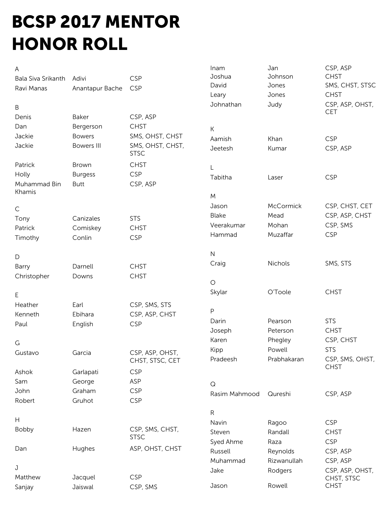## BCSP 2017 MENTOR HONOR ROLL

| Α                  |                   |                  | Inam          | Jan              | CSP, ASP        |
|--------------------|-------------------|------------------|---------------|------------------|-----------------|
| Bala Siva Srikanth | Adivi             | <b>CSP</b>       | Joshua        | Johnson          | <b>CHST</b>     |
| Ravi Manas         | Anantapur Bache   | <b>CSP</b>       | David         | Jones            | SMS, CHST, STSC |
|                    |                   |                  | Leary         | Jones            | <b>CHST</b>     |
| B                  |                   |                  | Johnathan     | Judy             | CSP, ASP, OHST, |
| Denis              | Baker             | CSP, ASP         |               |                  | <b>CET</b>      |
| Dan                | Bergerson         | <b>CHST</b>      | К             |                  |                 |
| Jackie             | <b>Bowers</b>     | SMS, OHST, CHST  | Aamish        | Khan             | <b>CSP</b>      |
| Jackie             | <b>Bowers III</b> | SMS, OHST, CHST, | Jeetesh       | Kumar            | CSP, ASP        |
|                    |                   | <b>STSC</b>      |               |                  |                 |
| Patrick            | Brown             | <b>CHST</b>      | L             |                  |                 |
| Holly              | <b>Burgess</b>    | <b>CSP</b>       | Tabitha       | Laser            | <b>CSP</b>      |
| Muhammad Bin       | <b>Butt</b>       | CSP, ASP         |               |                  |                 |
| Khamis             |                   |                  | M             |                  |                 |
| $\mathsf C$        |                   |                  | Jason         | <b>McCormick</b> | CSP, CHST, CET  |
|                    | Canizales         | <b>STS</b>       | <b>Blake</b>  | Mead             | CSP, ASP, CHST  |
| Tony<br>Patrick    | Comiskey          | <b>CHST</b>      | Veerakumar    | Mohan            | CSP, SMS        |
| Timothy            | Conlin            | <b>CSP</b>       | Hammad        | Muzaffar         | <b>CSP</b>      |
|                    |                   |                  |               |                  |                 |
| $\mathsf D$        |                   |                  | $\mathsf N$   |                  |                 |
| Barry              | Darnell           | <b>CHST</b>      | Craig         | Nichols          | SMS, STS        |
| Christopher        | Downs             | <b>CHST</b>      |               |                  |                 |
|                    |                   |                  | $\bigcirc$    |                  |                 |
| E                  |                   |                  | Skylar        | O'Toole          | <b>CHST</b>     |
| Heather            | Earl              | CSP, SMS, STS    |               |                  |                 |
| Kenneth            | Ebihara           | CSP, ASP, CHST   | $\mathsf{P}$  |                  |                 |
| Paul               | English           | <b>CSP</b>       | Darin         | Pearson          | <b>STS</b>      |
|                    |                   |                  | Joseph        | Peterson         | <b>CHST</b>     |
| G                  |                   |                  | Karen         | Phegley          | CSP, CHST       |
| Gustavo            | Garcia            | CSP, ASP, OHST,  | Kipp          | Powell           | <b>STS</b>      |
|                    |                   | CHST, STSC, CET  | Pradeesh      | Prabhakaran      | CSP, SMS, OHST, |
| Ashok              | Garlapati         | <b>CSP</b>       |               |                  | <b>CHST</b>     |
| Sam                | George            | ASP              | $\mathsf Q$   |                  |                 |
| John               | Graham            | <b>CSP</b>       | Rasim Mahmood | Qureshi          | CSP, ASP        |
| Robert             | Gruhot            | <b>CSP</b>       |               |                  |                 |
|                    |                   |                  | ${\sf R}$     |                  |                 |
| $\mathsf{H}$       |                   |                  | Navin         | Ragoo            | <b>CSP</b>      |
| Bobby              | Hazen             | CSP, SMS, CHST,  | Steven        | Randall          | <b>CHST</b>     |
|                    |                   | <b>STSC</b>      | Syed Ahme     | Raza             | <b>CSP</b>      |
| Dan                | Hughes            | ASP, OHST, CHST  | Russell       | Reynolds         | CSP, ASP        |
|                    |                   |                  | Muhammad      | Rizwanullah      | CSP, ASP        |
| J                  |                   |                  | Jake          | Rodgers          | CSP, ASP, OHST, |
| Matthew            | Jacquel           | <b>CSP</b>       |               |                  | CHST, STSC      |
| Sanjay             | Jaiswal           | CSP, SMS         | Jason         | Rowell           | <b>CHST</b>     |